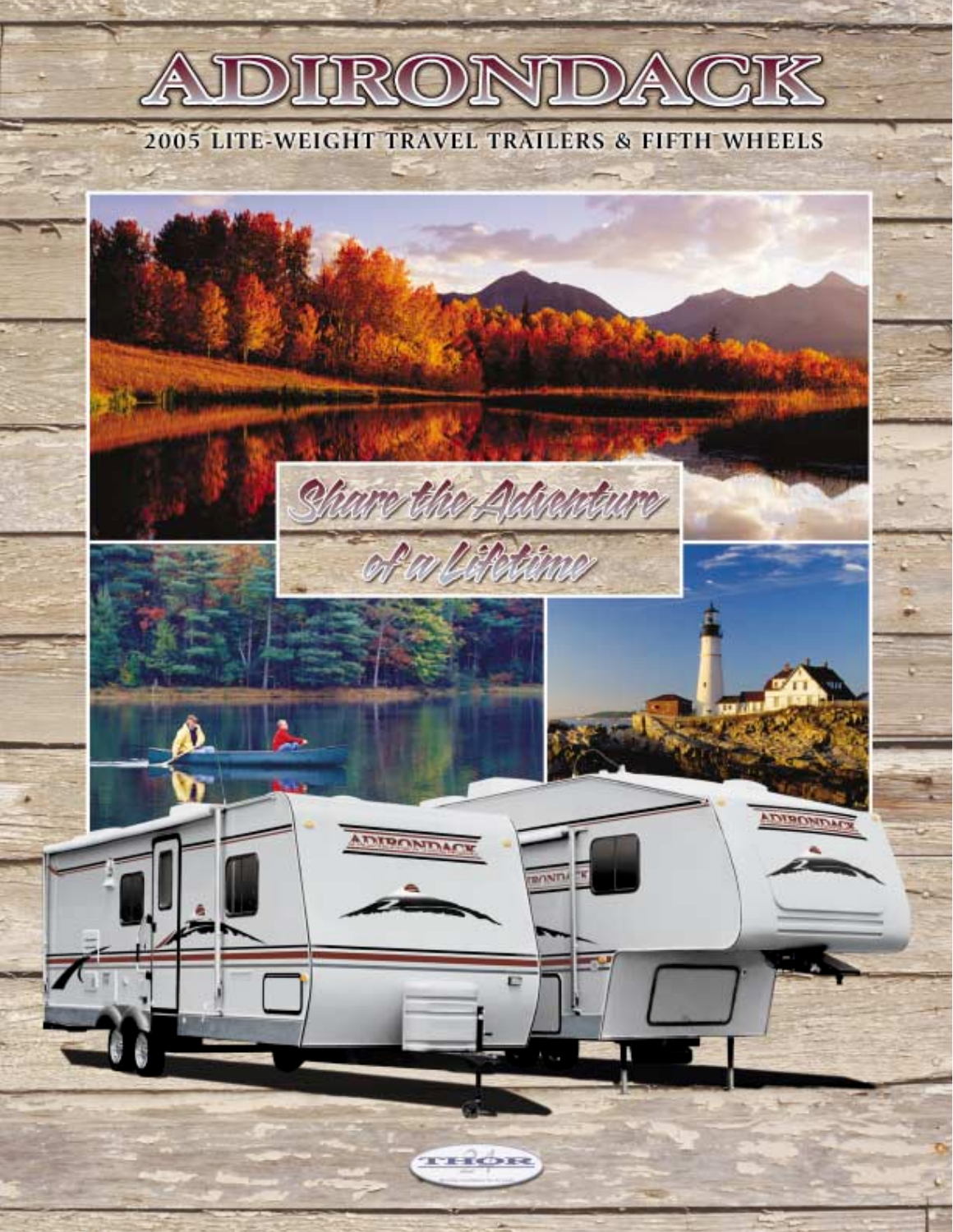# ADIRONDACK

## 2005 LITE-WEIGHT TRAVEL TRAILERS & FIFTH WHEELS

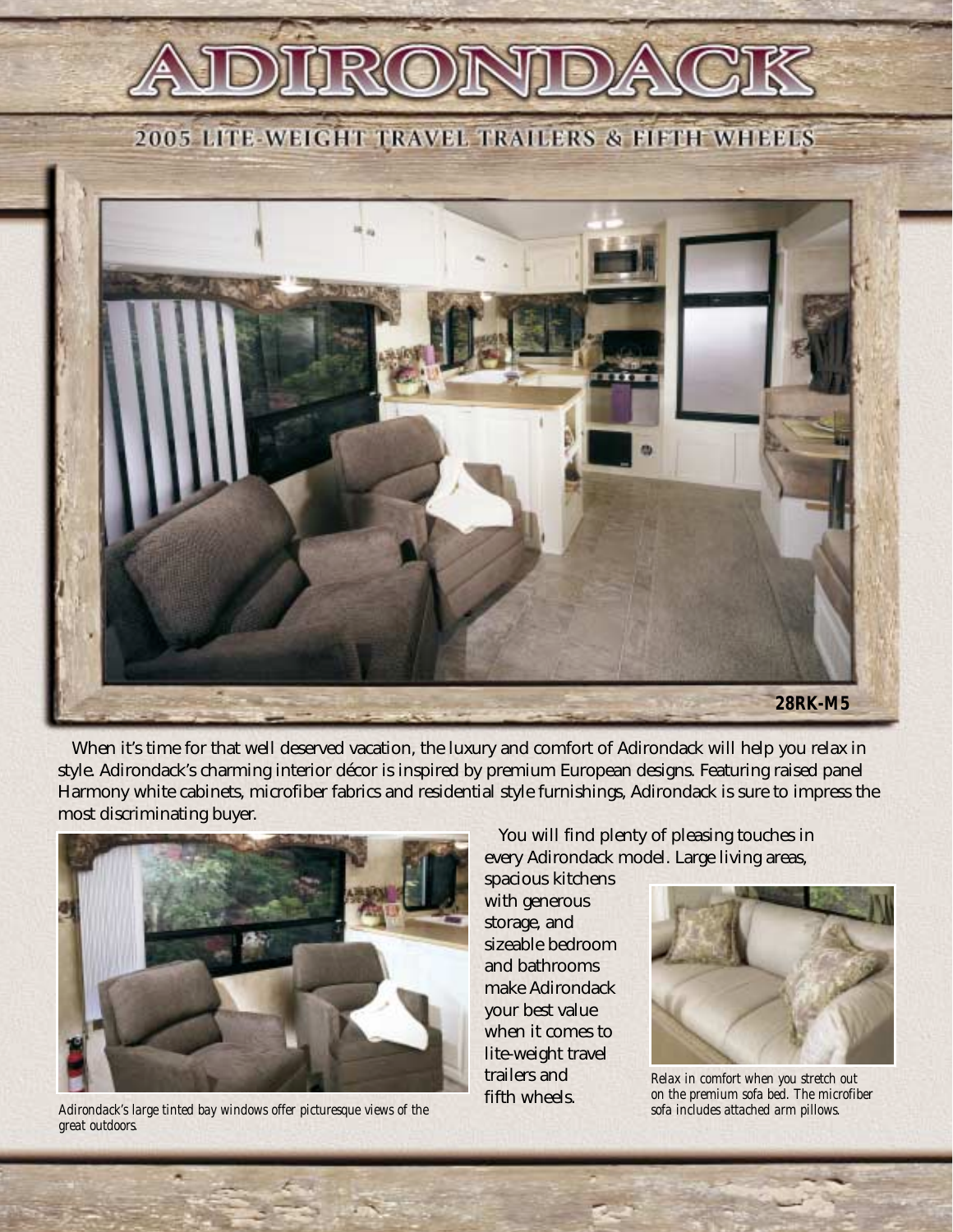2005 LITE-WEIGHT TRAVEL TRAILERS & FIFTH WHEELS



When it's time for that well deserved vacation, the luxury and comfort of Adirondack will help you relax in style. Adirondack's charming interior décor is inspired by premium European designs. Featuring raised panel Harmony white cabinets, microfiber fabrics and residential style furnishings, Adirondack is sure to impress the most discriminating buyer.



*Adirondack's large tinted bay windows offer picturesque views of the great outdoors.*

You will find plenty of pleasing touches in every Adirondack model. Large living areas,

spacious kitchens with generous storage, and sizeable bedroom and bathrooms make Adirondack your best value when it comes to lite-weight travel trailers and fifth wheels.



*Relax in comfort when you stretch out on the premium sofa bed. The microfiber sofa includes attached arm pillows.*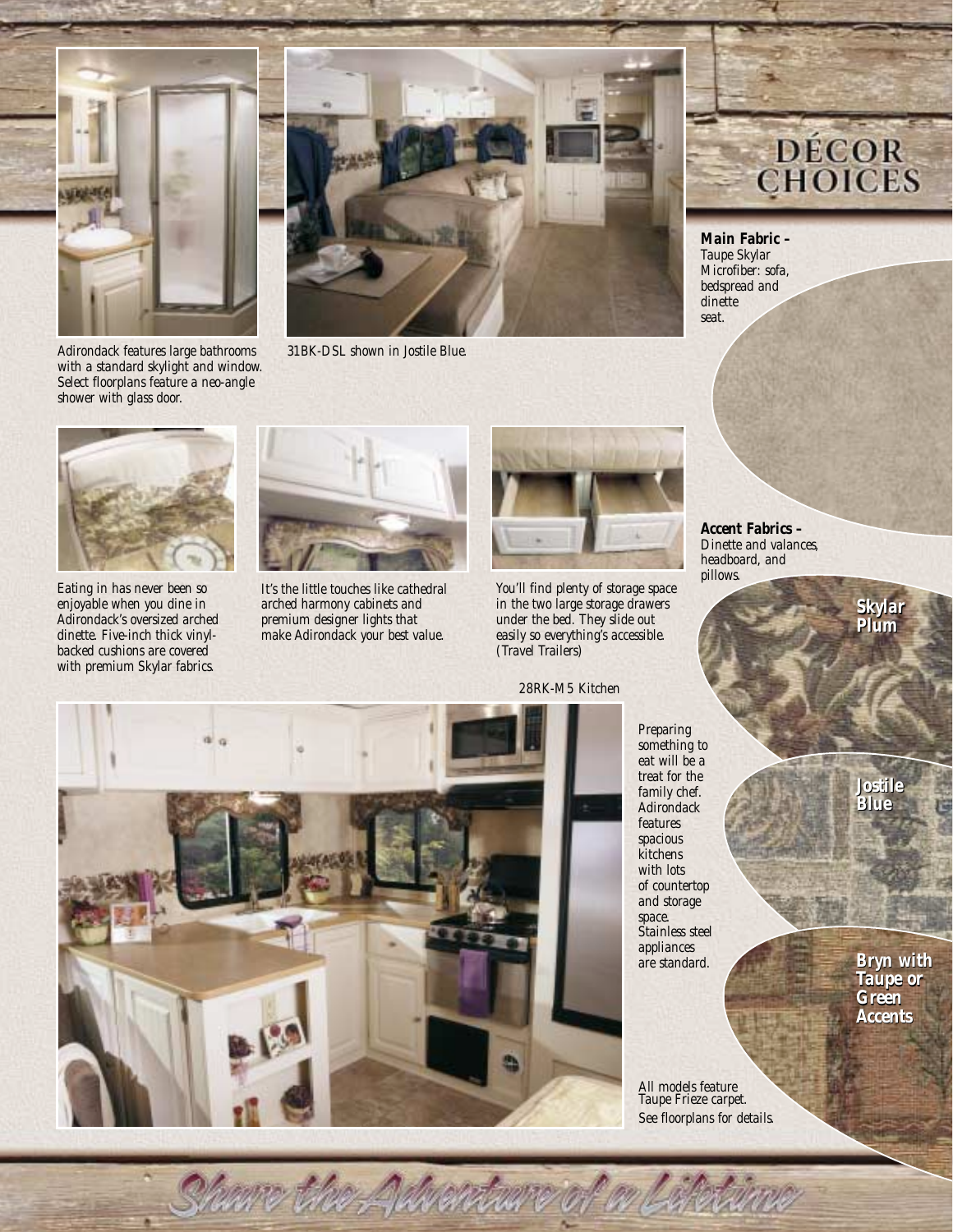



*Adirondack features large bathrooms with a standard skylight and window. 31BK-DSL shown in Jostile Blue.*

# **DÉCOR**<br>CHOICES

*Main Fabric – Taupe Skylar Microfiber: sofa, bedspread and dinette seat.*



*Select floorplans feature a neo-angle*

*shower with glass door.*

*Eating in has never been so enjoyable when you dine in Adirondack's oversized arched dinette. Five-inch thick vinylbacked cushions are covered with premium Skylar fabrics.*



*It's the little touches like cathedral arched harmony cabinets and premium designer lights that make Adirondack your best value.*



*You'll find plenty of storage space in the two large storage drawers under the bed. They slide out easily so everything's accessible. (Travel Trailers)*

*28RK-M5 Kitchen*

American avant on

*Accent Fabrics – Dinette and valances, headboard, and pillows.*

*Plum Plum*

*Skylar*



*Preparing something to eat will be a treat for the family chef. Adirondack features spacious kitchens with lots of countertop and storage space. Stainless steel appliances are standard.*

*Jostile Jostile Blue Blue*

*All models feature Taupe Frieze carpet. See floorplans for details.* *Bryn with Taupe or Green Accents Skylar<br>Plum<br>Dostile<br>Jostile<br>Blue<br>Bryn wit<br>Taupe or<br>Green*<br>Acce*nts*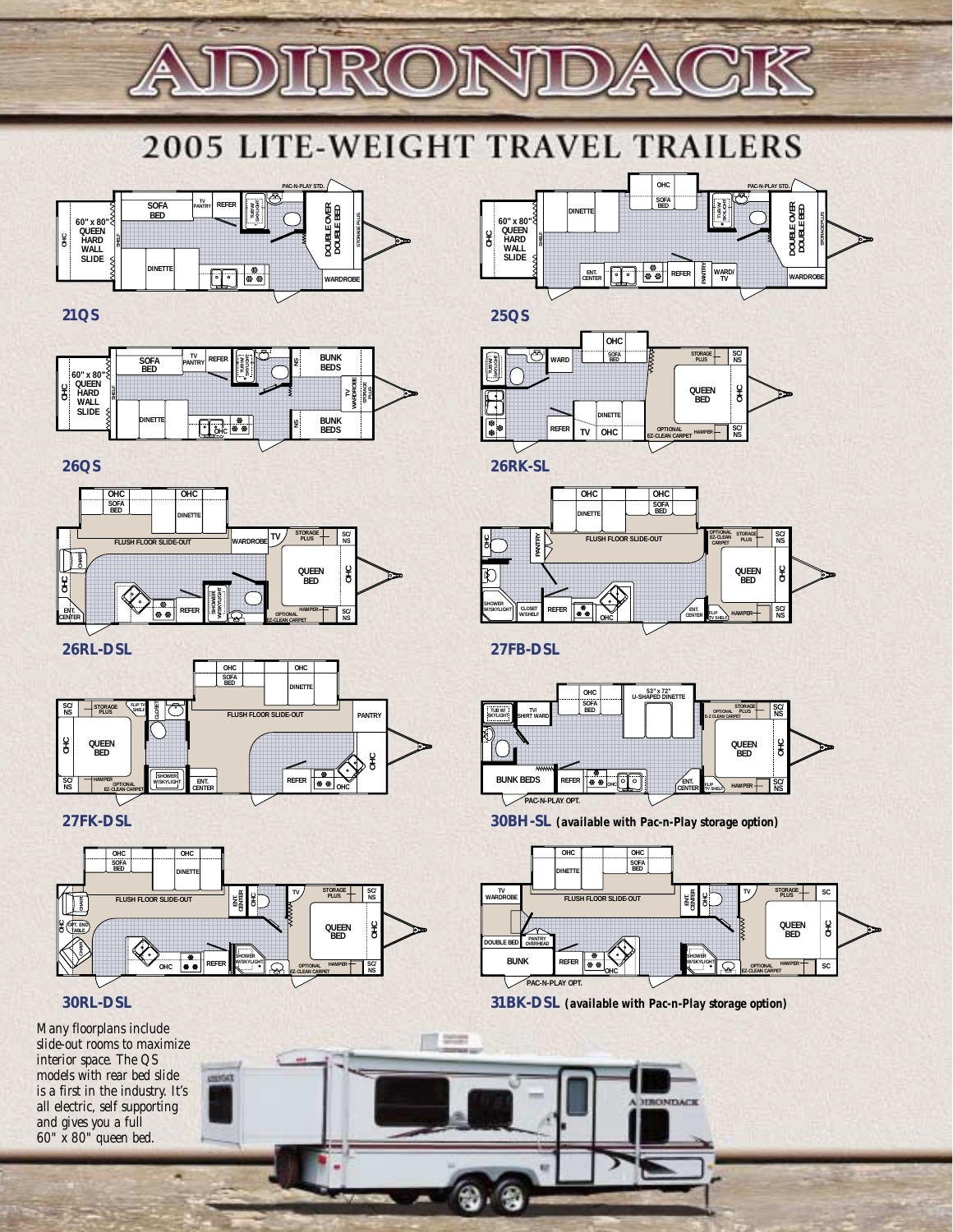

## **2005 LITE-WEIGHT TRAVEL TRAILERS**



#### **21QS**



#### **26QS**



**26RL-DSL** 



**27FK-DSL**





*Many floorplans include slide-out rooms to maximize interior space. The QS models with rear bed slide is a first in the industry. It's all electric, self supporting and gives you a full 60" x 80" queen bed.*



**25QS**



**26RK-SL** 



**27FB-DSL**

÷



**30BH-SL** *(available with Pac-n-Play storage option)*



**31BK-DSL** *(available with Pac-n-Play storage option)*

**HRONDACK**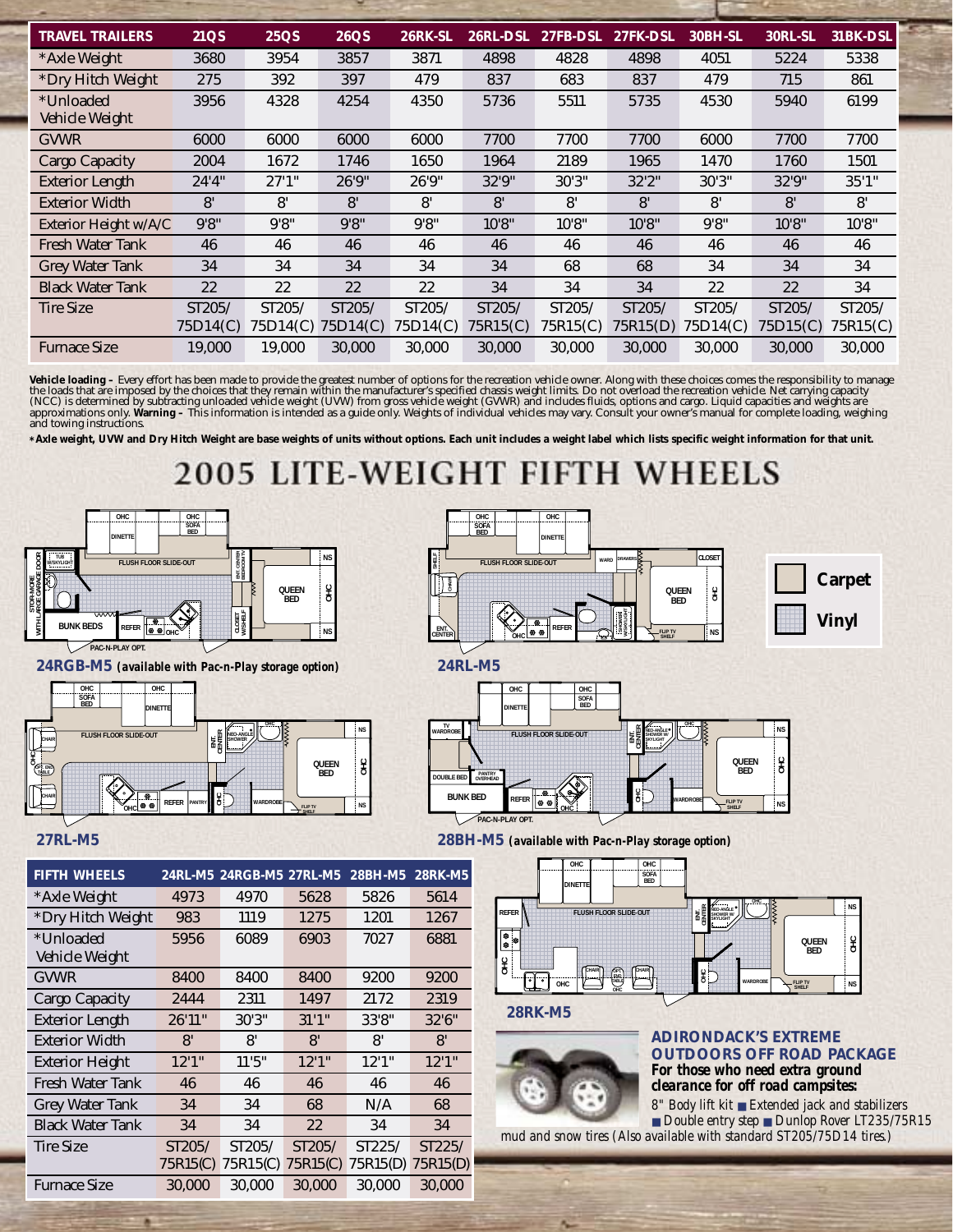| <b>TRAVEL TRAILERS</b>  | <b>21QS</b>         | 25QS     | <b>26QS</b> | <b>26RK-SL</b> | 26RL-DSL | 27FB-DSL | 27FK-DSL | 30BH-SL  | 30RL-SL  | 31BK-DSL |
|-------------------------|---------------------|----------|-------------|----------------|----------|----------|----------|----------|----------|----------|
| *Axle Weight            | 3680                | 3954     | 3857        | 3871           | 4898     | 4828     | 4898     | 4051     | 5224     | 5338     |
| *Dry Hitch Weight       | 275                 | 392      | 397         | 479            | 837      | 683      | 837      | 479      | 715      | 861      |
| *Unloaded               | 3956                | 4328     | 4254        | 4350           | 5736     | 5511     | 5735     | 4530     | 5940     | 6199     |
| Vehicle Weight          |                     |          |             |                |          |          |          |          |          |          |
| <b>GVWR</b>             | 6000                | 6000     | 6000        | 6000           | 7700     | 7700     | 7700     | 6000     | 7700     | 7700     |
| <b>Cargo Capacity</b>   | 2004                | 1672     | 1746        | 1650           | 1964     | 2189     | 1965     | 1470     | 1760     | 1501     |
| <b>Exterior Length</b>  | 24'4''              | 27'1''   | 26'9"       | 26'9"          | 32'9"    | 30'3''   | 32'2''   | 30'3"    | 32'9"    | 35'1''   |
| <b>Exterior Width</b>   | 8'                  | 8'       | 8'          | 8'             | 8'       | 8'       | 8'       | 8'       | 8'       | 8'       |
| Exterior Height w/A/C   | 9'8''               | 9'8''    | 9'8''       | 9'8''          | 10'8"    | 10'8"    | 10'8"    | 9'8''    | 10'8''   | 10'8"    |
| <b>Fresh Water Tank</b> | 46                  | 46       | 46          | 46             | 46       | 46       | 46       | 46       | 46       | 46       |
| <b>Grey Water Tank</b>  | 34                  | 34       | 34          | 34             | 34       | 68       | 68       | 34       | 34       | 34       |
| <b>Black Water Tank</b> | 22                  | 22       | 22          | 22             | 34       | 34       | 34       | 22       | 22       | 34       |
| <b>Tire Size</b>        | ST <sub>205</sub> / | ST205/   | ST205/      | ST205/         | ST205/   | ST205/   | ST205/   | ST205/   | ST205/   | ST205/   |
|                         | 75D14(C)            | 75D14(C) | 75D14(C)    | 75D14(C)       | 75R15(C) | 75R15(C) | 75R15(D) | 75D14(C) | 75D15(C) | 75R15(C) |
| <b>Furnace Size</b>     | 19,000              | 19.000   | 30,000      | 30.000         | 30.000   | 30.000   | 30.000   | 30.000   | 30.000   | 30,000   |

Vehicle loading – Every effort has been made to provide the greatest number of options for the recreation vehicle owner. Along with these choices comes the responsibility to manage<br>the loads that are imposed by the choices

**\*Axle weight, UVW and Dry Hitch Weight are base weights of units without options. Each unit includes a weight label which lists specific weight information for that unit.**

### **2005 LITE-WEIGHT FIF EELS**









| <b>FIFTH WHEELS</b>         |                    | 24RL-M5 24RGB-M5 27RL-M5 |                    | 28BH-M5            | <b>28RK-M5</b>                 |
|-----------------------------|--------------------|--------------------------|--------------------|--------------------|--------------------------------|
| *Axle Weight                | 4973               | 4970                     | 5628               | 5826               | 5614                           |
| *Dry Hitch Weight           | 983                | 1119                     | 1275               | 1201               | 1267                           |
| *Unloaded<br>Vehicle Weight | 5956               | 6089                     | 6903               | 7027               | 6881                           |
| <b>GVWR</b>                 | 8400               | 8400                     | 8400               | 9200               | 9200                           |
| Cargo Capacity              | 2444               | 2311                     | 1497               | 2172               | 2319                           |
| <b>Exterior Length</b>      | 26'11"             | 30'3"                    | 31'1''             | 33'8"              | 32'6"                          |
| <b>Exterior Width</b>       | 8'                 | 8'                       | 8'                 | 8'                 | 8'                             |
| <b>Exterior Height</b>      | 12'1''             | 11'5''                   | 12'1''             | 12'1''             | 12'1''                         |
| <b>Fresh Water Tank</b>     | 46                 | 46                       | 46                 | 46                 | 46                             |
| <b>Grey Water Tank</b>      | 34                 | 34                       | 68                 | N/A                | 68                             |
| <b>Black Water Tank</b>     | 34                 | 34                       | 22                 | 34                 | 34                             |
| <b>Tire Size</b>            | ST205/<br>75R15(C) | ST205/<br>75R15(C)       | ST205/<br>75R15(C) | ST225/<br>75R15(D) | ST225/<br>75R15 <sub>(D)</sub> |
| <b>Furnace Size</b>         | 30,000             | 30,000                   | 30,000             | 30,000             | 30.000                         |

**27RL-M5 28BH-M5** *(available with Pac-n-Play storage option)*



**28RK-M5**



**ADIRONDACK'S EXTREME OUTDOORS OFF ROAD PACKAGE** *For those who need extra ground clearance for off road campsites:*

*8" Body lift kit* ■ *Extended jack and stabilizers*  ■ *Double entry step* ■ *Dunlop Rover LT235/75R15 mud and snow tires (Also available with standard ST205/75D14 tires.)*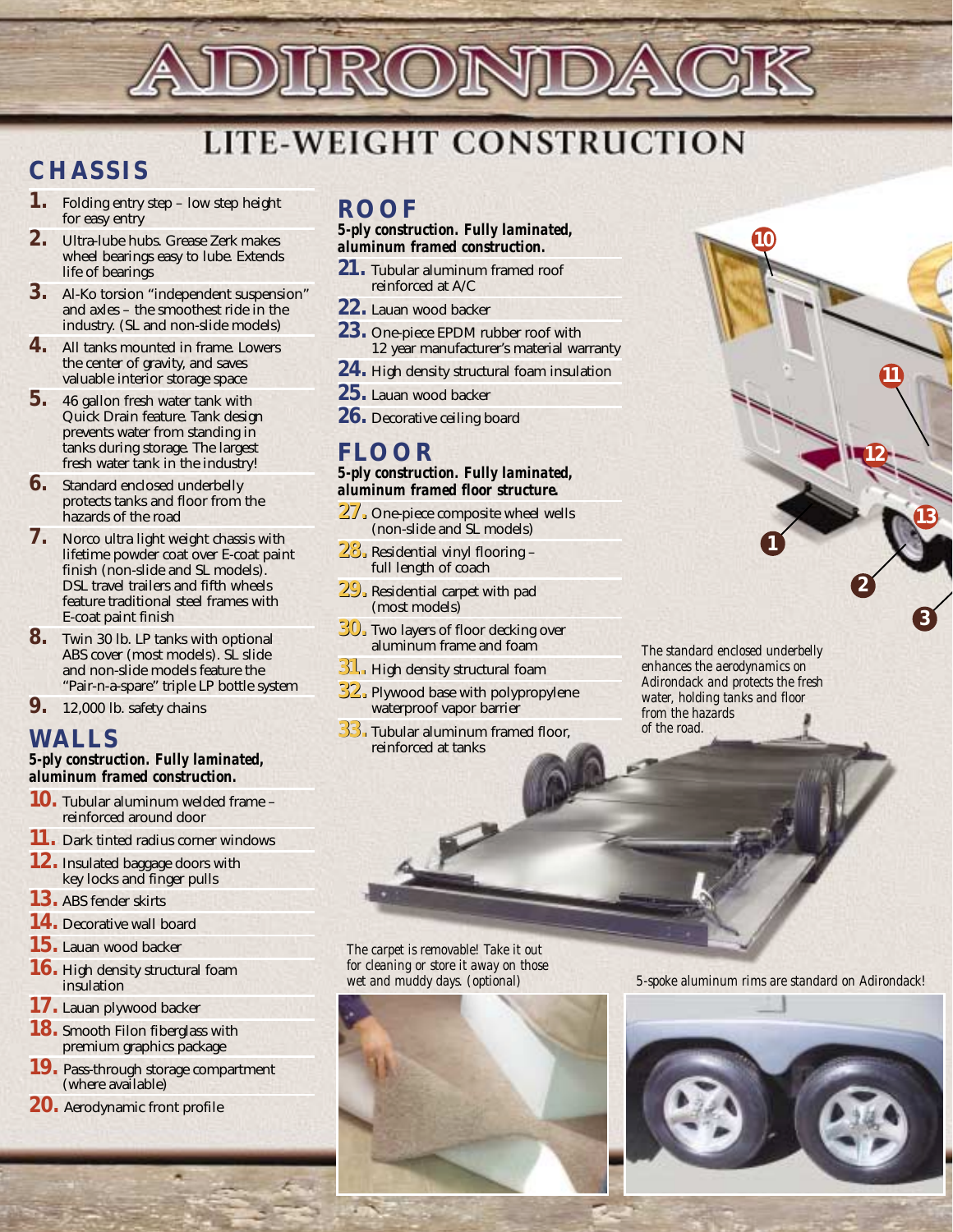

# **LITE-WEIGHT CONSTRUCTION**

## **CHASSIS**

- **1.** Folding entry step low step height for easy entry
- **2.** Ultra-lube hubs. Grease Zerk makes wheel bearings easy to lube. Extends life of bearings
- **3.** Al-Ko torsion "independent suspension" and axles – the smoothest ride in the industry. (SL and non-slide models)
- **4.** All tanks mounted in frame. Lowers the center of gravity, and saves valuable interior storage space
- **5.** 46 gallon fresh water tank with Quick Drain feature. Tank design prevents water from standing in tanks during storage. The largest fresh water tank in the industry!
- **6.** Standard enclosed underbelly protects tanks and floor from the hazards of the road
- **7.** Norco ultra light weight chassis with lifetime powder coat over E-coat paint finish (non-slide and SL models). DSL travel trailers and fifth wheels feature traditional steel frames with E-coat paint finish
- **8.** Twin 30 lb. LP tanks with optional ABS cover (most models). SL slide and non-slide models feature the "Pair-n-a-spare" triple LP bottle system
- **9.** 12,000 lb. safety chains

## **WALLS**

#### *5-ply construction. Fully laminated, aluminum framed construction.*

- **10.** Tubular aluminum welded frame reinforced around door
- **11.** Dark tinted radius corner windows
- **12.** Insulated baggage doors with key locks and finger pulls
- **13.** ABS fender skirts
- **14.** Decorative wall board
- **15.** Lauan wood backer
- **16.** High density structural foam insulation
- **17.** Lauan plywood backer
- **18.** Smooth Filon fiberglass with premium graphics package
- **19.** Pass-through storage compartment (where available)
- **20.** Aerodynamic front profile

## **ROOF**

#### *5-ply construction. Fully laminated, aluminum framed construction.*

- **21.** Tubular aluminum framed roof reinforced at A/C
- **22.** Lauan wood backer
- **23.** One-piece EPDM rubber roof with 12 year manufacturer's material warranty
- **24.** High density structural foam insulation
- **25.** Lauan wood backer
- **26.** Decorative ceiling board

## **FLOOR**

#### *5-ply construction. Fully laminated, aluminum framed floor structure.*

- **27. 27.** One-piece composite wheel wells (non-slide and SL models)
- **28. 28.** Residential vinyl flooring full length of coach
- **29. 29.** Residential carpet with pad (most models)
- **30. 30.** Two layers of floor decking over aluminum frame and foam
- **31. 31.** High density structural foam
- **32. 32.** Plywood base with polypropylene waterproof vapor barrier
- **33. 33.** Tubular aluminum framed floor, reinforced at tanks

*The standard enclosed underbelly enhances the aerodynamics on Adirondack and protects the fresh water, holding tanks and floor from the hazards of the road.*

**1**

**10**

**13**

**11**

**12**

**3**

**2**

*The carpet is removable! Take it out for cleaning or store it away on those wet and muddy days. (optional)*



*5-spoke aluminum rims are standard on Adirondack!*

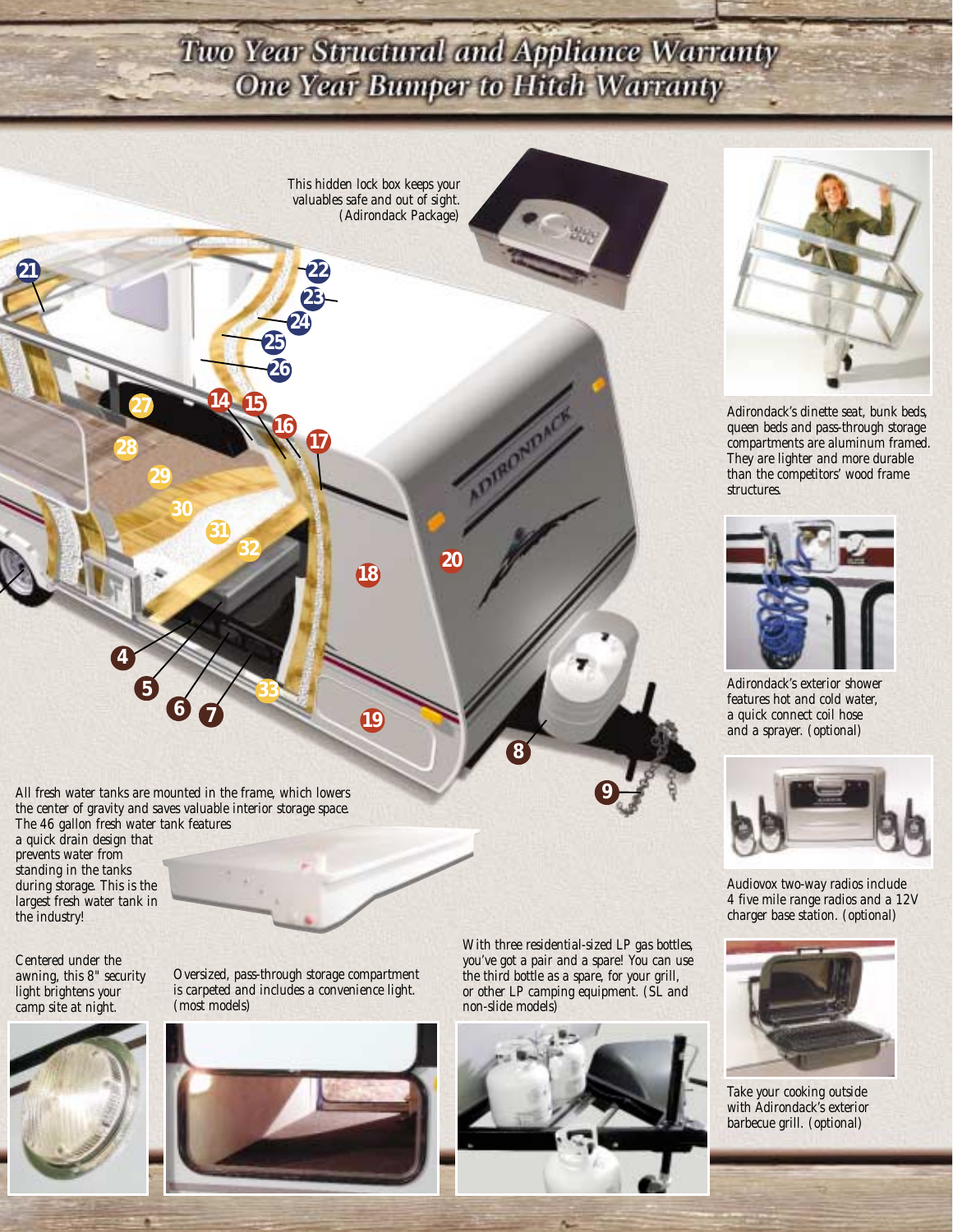## Two Year Structural and Appliance Warranty One Year Bumper to Hitch Warranty

*This hidden lock box keeps your valuables safe and out of sight. (Adirondack Package)*

**18**

**20**

**19**

*All fresh water tanks are mounted in the frame, which lowers the center of gravity and saves valuable interior storage space. The 46 gallon fresh water tank features* 

**6 7**

**27**

**29**

**21 22**

**30**

**31**

**32**

**14 15**

**16**

**25 26**

**24**

**23**

**17**

**33**

**28**

**4**

**5**

*a quick drain design that prevents water from standing in the tanks during storage. This is the largest fresh water tank in the industry!*

*Centered under the awning, this 8" security light brightens your camp site at night.*



*Oversized, pass-through storage compartment is carpeted and includes a convenience light. (most models)*



*With three residential-sized LP gas bottles, you've got a pair and a spare! You can use the third bottle as a spare, for your grill, or other LP camping equipment. (SL and non-slide models)*

**9**

**8**





*Adirondack's dinette seat, bunk beds, queen beds and pass-through storage compartments are aluminum framed. They are lighter and more durable than the competitors' wood frame structures.*



*Adirondack's exterior shower features hot and cold water, a quick connect coil hose and a sprayer. (optional)*



*Audiovox two-way radios include 4 five mile range radios and a 12V charger base station. (optional)*



*Take your cooking outside with Adirondack's exterior barbecue grill. (optional)*